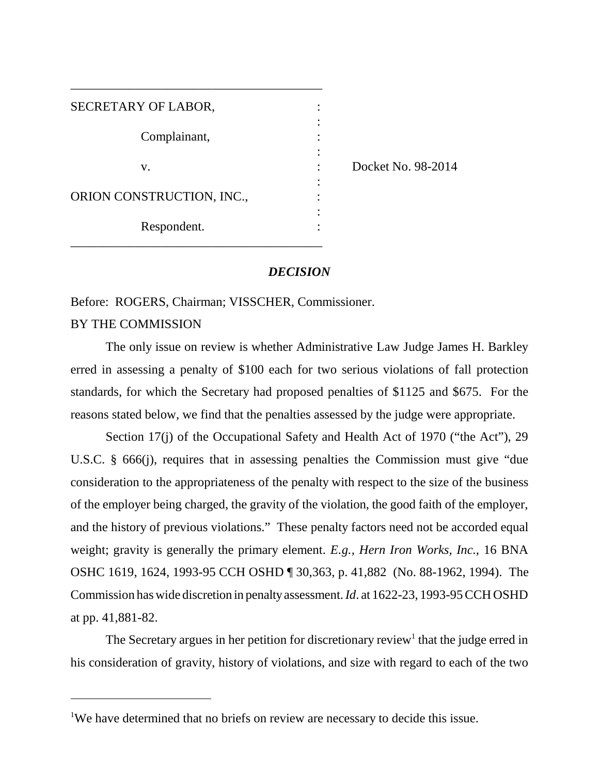| SECRETARY OF LABOR,       |  |
|---------------------------|--|
|                           |  |
| Complainant,              |  |
|                           |  |
| V.                        |  |
|                           |  |
| ORION CONSTRUCTION, INC., |  |
|                           |  |
| Respondent.               |  |
|                           |  |

\_\_\_\_\_\_\_\_\_\_\_\_\_\_\_\_\_\_\_\_\_\_\_\_\_\_\_\_\_\_\_\_\_\_\_\_\_\_\_

ket No. 98-2014

# *DECISION*

Before: ROGERS, Chairman; VISSCHER, Commissioner.

# BY THE COMMISSION

The only issue on review is whether Administrative Law Judge James H. Barkley erred in assessing a penalty of \$100 each for two serious violations of fall protection standards, for which the Secretary had proposed penalties of \$1125 and \$675. For the reasons stated below, we find that the penalties assessed by the judge were appropriate.

Section 17(j) of the Occupational Safety and Health Act of 1970 ("the Act"), 29 U.S.C. § 666(j), requires that in assessing penalties the Commission must give "due consideration to the appropriateness of the penalty with respect to the size of the business of the employer being charged, the gravity of the violation, the good faith of the employer, and the history of previous violations." These penalty factors need not be accorded equal weight; gravity is generally the primary element. *E.g., Hern Iron Works, Inc.*, 16 BNA OSHC 1619, 1624, 1993-95 CCH OSHD ¶ 30,363, p. 41,882 (No. 88-1962, 1994). The Commission has wide discretion in penalty assessment. *Id*. at 1622-23, 1993-95 CCH OSHD at pp. 41,881-82.

The Secretary argues in her petition for discretionary review<sup>1</sup> that the judge erred in his consideration of gravity, history of violations, and size with regard to each of the two

<sup>&</sup>lt;sup>1</sup>We have determined that no briefs on review are necessary to decide this issue.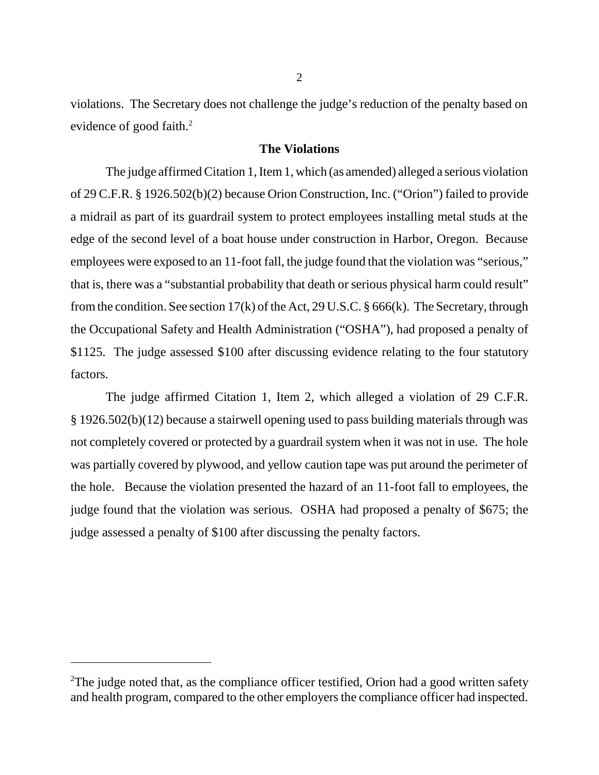violations. The Secretary does not challenge the judge's reduction of the penalty based on evidence of good faith.<sup>2</sup>

# **The Violations**

The judge affirmed Citation 1, Item 1, which (as amended) alleged a serious violation of 29 C.F.R. § 1926.502(b)(2) because Orion Construction, Inc. ("Orion") failed to provide a midrail as part of its guardrail system to protect employees installing metal studs at the edge of the second level of a boat house under construction in Harbor, Oregon. Because employees were exposed to an 11-foot fall, the judge found that the violation was "serious," that is, there was a "substantial probability that death or serious physical harm could result" from the condition. See section 17(k) of the Act, 29 U.S.C. § 666(k). The Secretary, through the Occupational Safety and Health Administration ("OSHA"), had proposed a penalty of \$1125. The judge assessed \$100 after discussing evidence relating to the four statutory factors.

The judge affirmed Citation 1, Item 2, which alleged a violation of 29 C.F.R. § 1926.502(b)(12) because a stairwell opening used to pass building materials through was not completely covered or protected by a guardrail system when it was not in use. The hole was partially covered by plywood, and yellow caution tape was put around the perimeter of the hole. Because the violation presented the hazard of an 11-foot fall to employees, the judge found that the violation was serious. OSHA had proposed a penalty of \$675; the judge assessed a penalty of \$100 after discussing the penalty factors.

<sup>&</sup>lt;sup>2</sup>The judge noted that, as the compliance officer testified, Orion had a good written safety and health program, compared to the other employers the compliance officer had inspected.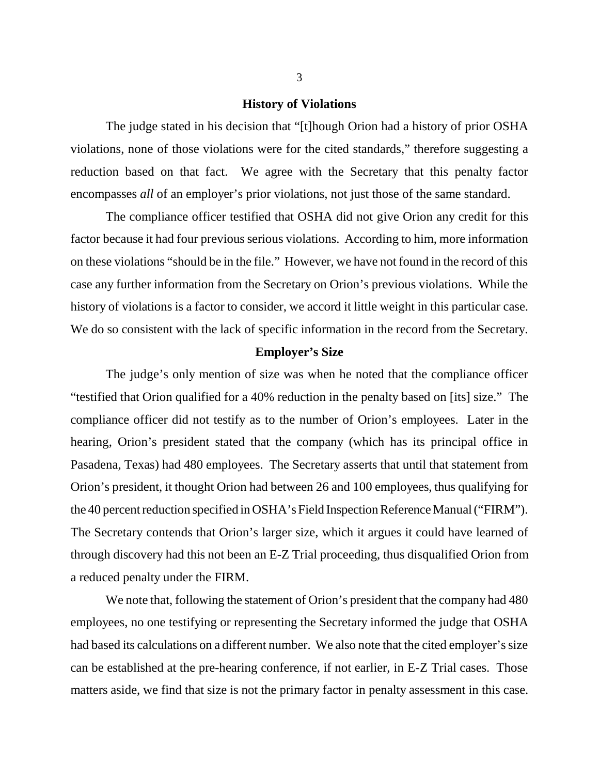### **History of Violations**

The judge stated in his decision that "[t]hough Orion had a history of prior OSHA violations, none of those violations were for the cited standards," therefore suggesting a reduction based on that fact. We agree with the Secretary that this penalty factor encompasses *all* of an employer's prior violations, not just those of the same standard.

The compliance officer testified that OSHA did not give Orion any credit for this factor because it had four previous serious violations. According to him, more information on these violations "should be in the file." However, we have not found in the record of this case any further information from the Secretary on Orion's previous violations. While the history of violations is a factor to consider, we accord it little weight in this particular case. We do so consistent with the lack of specific information in the record from the Secretary.

### **Employer's Size**

The judge's only mention of size was when he noted that the compliance officer "testified that Orion qualified for a 40% reduction in the penalty based on [its] size." The compliance officer did not testify as to the number of Orion's employees. Later in the hearing, Orion's president stated that the company (which has its principal office in Pasadena, Texas) had 480 employees. The Secretary asserts that until that statement from Orion's president, it thought Orion had between 26 and 100 employees, thus qualifying for the 40 percent reduction specified in OSHA's Field Inspection Reference Manual ("FIRM"). The Secretary contends that Orion's larger size, which it argues it could have learned of through discovery had this not been an E-Z Trial proceeding, thus disqualified Orion from a reduced penalty under the FIRM.

We note that, following the statement of Orion's president that the company had 480 employees, no one testifying or representing the Secretary informed the judge that OSHA had based its calculations on a different number. We also note that the cited employer's size can be established at the pre-hearing conference, if not earlier, in E-Z Trial cases. Those matters aside, we find that size is not the primary factor in penalty assessment in this case.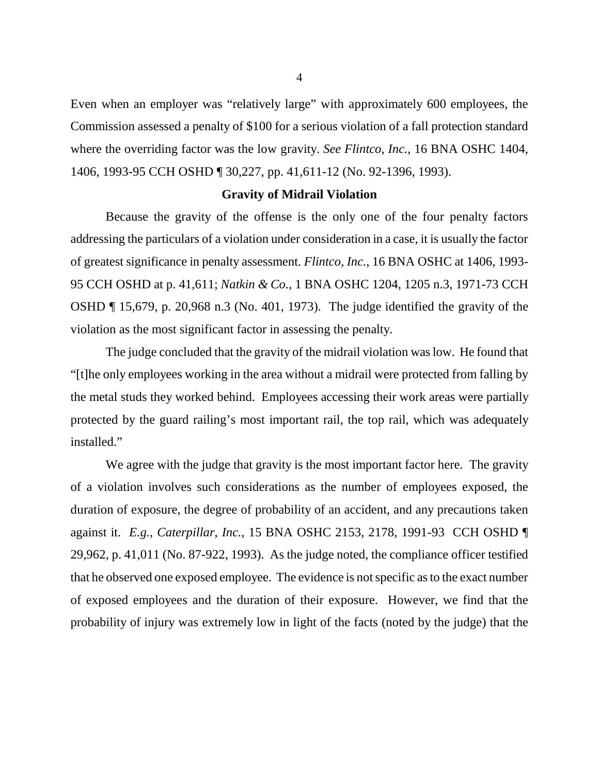Even when an employer was "relatively large" with approximately 600 employees, the Commission assessed a penalty of \$100 for a serious violation of a fall protection standard where the overriding factor was the low gravity. *See Flintco, Inc.*, 16 BNA OSHC 1404, 1406, 1993-95 CCH OSHD ¶ 30,227, pp. 41,611-12 (No. 92-1396, 1993).

### **Gravity of Midrail Violation**

Because the gravity of the offense is the only one of the four penalty factors addressing the particulars of a violation under consideration in a case, it is usually the factor of greatest significance in penalty assessment. *Flintco, Inc.*, 16 BNA OSHC at 1406, 1993- 95 CCH OSHD at p. 41,611; *Natkin & Co.*, 1 BNA OSHC 1204, 1205 n.3, 1971-73 CCH OSHD ¶ 15,679, p. 20,968 n.3 (No. 401, 1973). The judge identified the gravity of the violation as the most significant factor in assessing the penalty.

The judge concluded that the gravity of the midrail violation was low. He found that "[t]he only employees working in the area without a midrail were protected from falling by the metal studs they worked behind. Employees accessing their work areas were partially protected by the guard railing's most important rail, the top rail, which was adequately installed."

We agree with the judge that gravity is the most important factor here. The gravity of a violation involves such considerations as the number of employees exposed, the duration of exposure, the degree of probability of an accident, and any precautions taken against it. *E.g., Caterpillar, Inc.*, 15 BNA OSHC 2153, 2178, 1991-93 CCH OSHD ¶ 29,962, p. 41,011 (No. 87-922, 1993). As the judge noted, the compliance officer testified that he observed one exposed employee. The evidence is not specific as to the exact number of exposed employees and the duration of their exposure. However, we find that the probability of injury was extremely low in light of the facts (noted by the judge) that the

4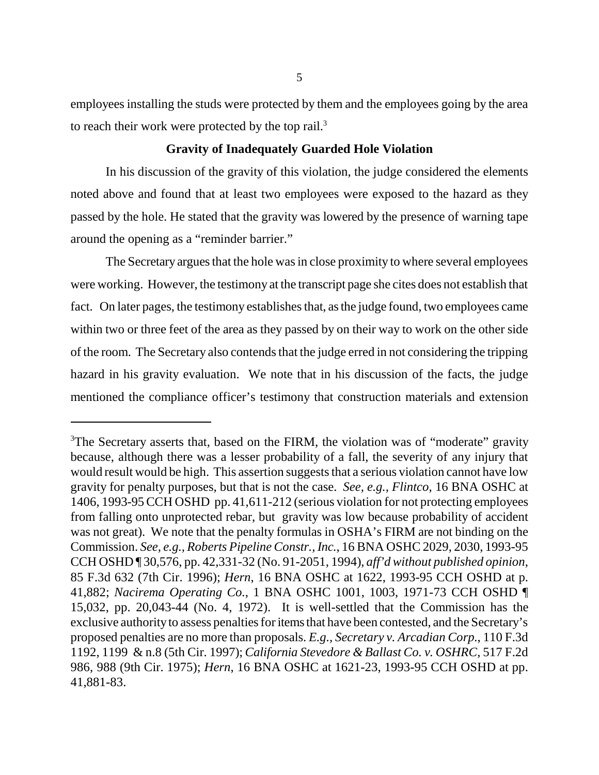employees installing the studs were protected by them and the employees going by the area to reach their work were protected by the top rail.<sup>3</sup>

# **Gravity of Inadequately Guarded Hole Violation**

In his discussion of the gravity of this violation, the judge considered the elements noted above and found that at least two employees were exposed to the hazard as they passed by the hole. He stated that the gravity was lowered by the presence of warning tape around the opening as a "reminder barrier."

The Secretary argues that the hole was in close proximity to where several employees were working. However, the testimony at the transcript page she cites does not establish that fact. On later pages, the testimony establishes that, as the judge found, two employees came within two or three feet of the area as they passed by on their way to work on the other side of the room. The Secretary also contends that the judge erred in not considering the tripping hazard in his gravity evaluation. We note that in his discussion of the facts, the judge mentioned the compliance officer's testimony that construction materials and extension

<sup>&</sup>lt;sup>3</sup>The Secretary asserts that, based on the FIRM, the violation was of "moderate" gravity because, although there was a lesser probability of a fall, the severity of any injury that would result would be high. This assertion suggests that a serious violation cannot have low gravity for penalty purposes, but that is not the case. *See, e.g., Flintco*, 16 BNA OSHC at 1406, 1993-95 CCH OSHD pp. 41,611-212 (serious violation for not protecting employees from falling onto unprotected rebar, but gravity was low because probability of accident was not great). We note that the penalty formulas in OSHA's FIRM are not binding on the Commission. *See, e.g., Roberts Pipeline Constr., Inc.*, 16 BNA OSHC 2029, 2030, 1993-95 CCH OSHD ¶ 30,576, pp. 42,331-32 (No. 91-2051, 1994), *aff'd without published opinion*, 85 F.3d 632 (7th Cir. 1996); *Hern*, 16 BNA OSHC at 1622, 1993-95 CCH OSHD at p. 41,882; *Nacirema Operating Co.*, 1 BNA OSHC 1001, 1003, 1971-73 CCH OSHD ¶ 15,032, pp. 20,043-44 (No. 4, 1972). It is well-settled that the Commission has the exclusive authority to assess penalties for items that have been contested, and the Secretary's proposed penalties are no more than proposals. *E.g., Secretary v. Arcadian Corp.*, 110 F.3d 1192, 1199 & n.8 (5th Cir. 1997); *California Stevedore & Ballast Co. v. OSHRC*, 517 F.2d 986, 988 (9th Cir. 1975); *Hern*, 16 BNA OSHC at 1621-23, 1993-95 CCH OSHD at pp. 41,881-83.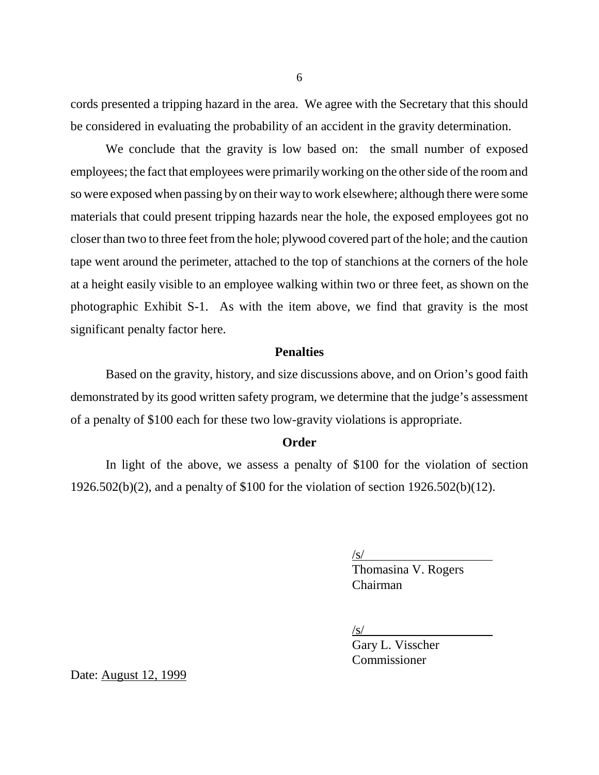cords presented a tripping hazard in the area. We agree with the Secretary that this should be considered in evaluating the probability of an accident in the gravity determination.

We conclude that the gravity is low based on: the small number of exposed employees; the fact that employees were primarily working on the other side of the room and so were exposed when passing by on their way to work elsewhere; although there were some materials that could present tripping hazards near the hole, the exposed employees got no closer than two to three feet from the hole; plywood covered part of the hole; and the caution tape went around the perimeter, attached to the top of stanchions at the corners of the hole at a height easily visible to an employee walking within two or three feet, as shown on the photographic Exhibit S-1. As with the item above, we find that gravity is the most significant penalty factor here.

## **Penalties**

Based on the gravity, history, and size discussions above, and on Orion's good faith demonstrated by its good written safety program, we determine that the judge's assessment of a penalty of \$100 each for these two low-gravity violations is appropriate.

# **Order**

In light of the above, we assess a penalty of \$100 for the violation of section 1926.502(b)(2), and a penalty of \$100 for the violation of section 1926.502(b)(12).

/s/

Thomasina V. Rogers Chairman

 $\sqrt{s/}$ 

Gary L. Visscher Commissioner

Date: August 12, 1999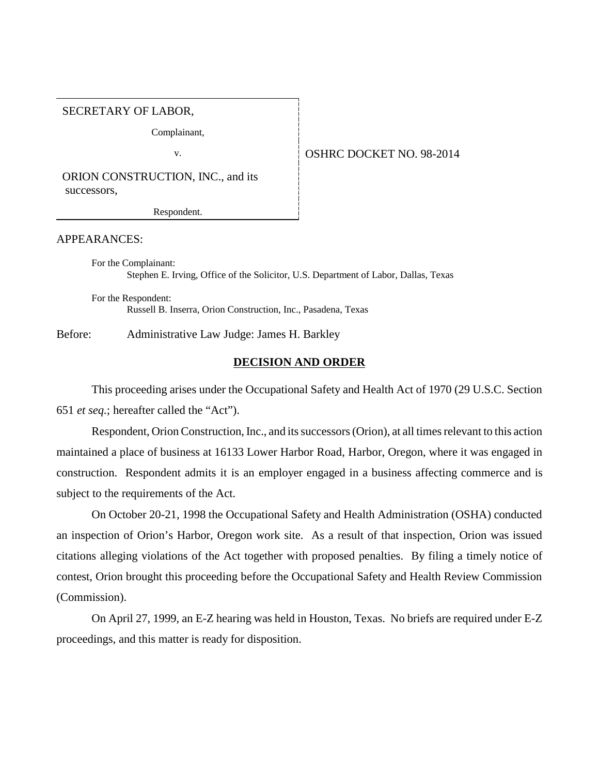SECRETARY OF LABOR,

Complainant,

v. 6 0SHRC DOCKET NO. 98-2014

ORION CONSTRUCTION, INC., and its successors,

Respondent.

### APPEARANCES:

For the Complainant: Stephen E. Irving, Office of the Solicitor, U.S. Department of Labor, Dallas, Texas

For the Respondent: Russell B. Inserra, Orion Construction, Inc., Pasadena, Texas

Before: Administrative Law Judge: James H. Barkley

### **DECISION AND ORDER**

This proceeding arises under the Occupational Safety and Health Act of 1970 (29 U.S.C. Section 651 *et seq.*; hereafter called the "Act").

Respondent, Orion Construction, Inc., and its successors (Orion), at all times relevant to this action maintained a place of business at 16133 Lower Harbor Road, Harbor, Oregon, where it was engaged in construction. Respondent admits it is an employer engaged in a business affecting commerce and is subject to the requirements of the Act.

On October 20-21, 1998 the Occupational Safety and Health Administration (OSHA) conducted an inspection of Orion's Harbor, Oregon work site. As a result of that inspection, Orion was issued citations alleging violations of the Act together with proposed penalties. By filing a timely notice of contest, Orion brought this proceeding before the Occupational Safety and Health Review Commission (Commission).

On April 27, 1999, an E-Z hearing was held in Houston, Texas. No briefs are required under E-Z proceedings, and this matter is ready for disposition.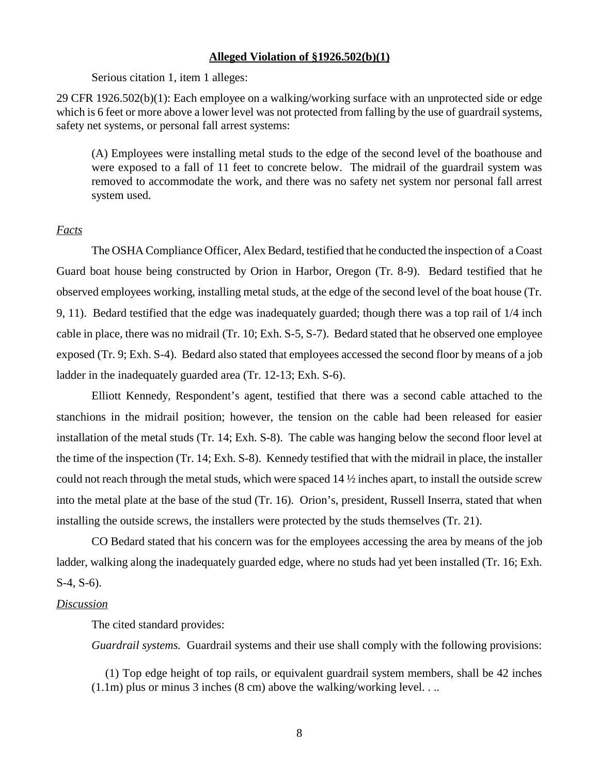#### **Alleged Violation of §1926.502(b)(1)**

Serious citation 1, item 1 alleges:

29 CFR 1926.502(b)(1): Each employee on a walking/working surface with an unprotected side or edge which is 6 feet or more above a lower level was not protected from falling by the use of guardrail systems, safety net systems, or personal fall arrest systems:

(A) Employees were installing metal studs to the edge of the second level of the boathouse and were exposed to a fall of 11 feet to concrete below. The midrail of the guardrail system was removed to accommodate the work, and there was no safety net system nor personal fall arrest system used.

#### *Facts*

The OSHA Compliance Officer, Alex Bedard, testified that he conducted the inspection of a Coast Guard boat house being constructed by Orion in Harbor, Oregon (Tr. 8-9). Bedard testified that he observed employees working, installing metal studs, at the edge of the second level of the boat house (Tr. 9, 11). Bedard testified that the edge was inadequately guarded; though there was a top rail of 1/4 inch cable in place, there was no midrail (Tr. 10; Exh. S-5, S-7). Bedard stated that he observed one employee exposed (Tr. 9; Exh. S-4). Bedard also stated that employees accessed the second floor by means of a job ladder in the inadequately guarded area (Tr. 12-13; Exh. S-6).

Elliott Kennedy, Respondent's agent, testified that there was a second cable attached to the stanchions in the midrail position; however, the tension on the cable had been released for easier installation of the metal studs (Tr. 14; Exh. S-8). The cable was hanging below the second floor level at the time of the inspection (Tr. 14; Exh. S-8). Kennedy testified that with the midrail in place, the installer could not reach through the metal studs, which were spaced  $14\frac{1}{2}$  inches apart, to install the outside screw into the metal plate at the base of the stud (Tr. 16). Orion's, president, Russell Inserra, stated that when installing the outside screws, the installers were protected by the studs themselves (Tr. 21).

CO Bedard stated that his concern was for the employees accessing the area by means of the job ladder, walking along the inadequately guarded edge, where no studs had yet been installed (Tr. 16; Exh. S-4, S-6).

#### *Discussion*

The cited standard provides:

*Guardrail systems.* Guardrail systems and their use shall comply with the following provisions:

 (1) Top edge height of top rails, or equivalent guardrail system members, shall be 42 inches  $(1.1m)$  plus or minus 3 inches  $(8 \text{ cm})$  above the walking/working level...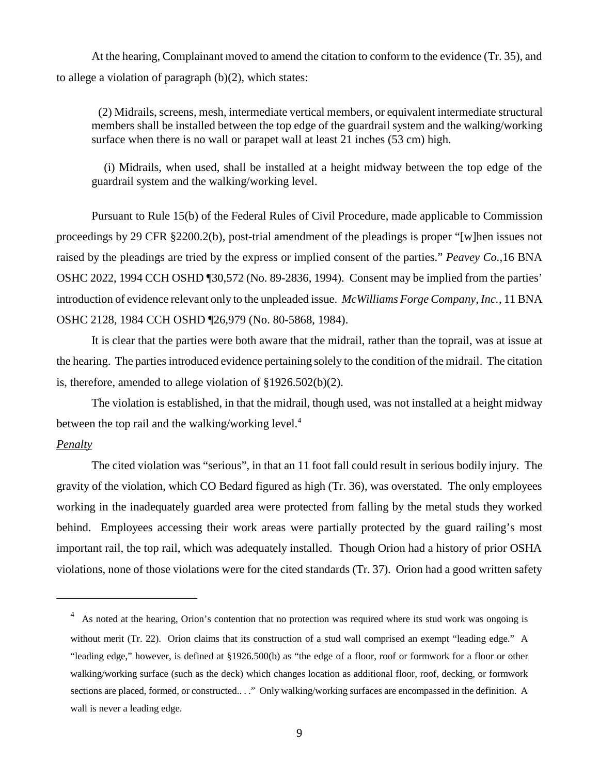At the hearing, Complainant moved to amend the citation to conform to the evidence (Tr. 35), and to allege a violation of paragraph  $(b)(2)$ , which states:

 (2) Midrails, screens, mesh, intermediate vertical members, or equivalent intermediate structural members shall be installed between the top edge of the guardrail system and the walking/working surface when there is no wall or parapet wall at least 21 inches (53 cm) high.

 (i) Midrails, when used, shall be installed at a height midway between the top edge of the guardrail system and the walking/working level.

Pursuant to Rule 15(b) of the Federal Rules of Civil Procedure, made applicable to Commission proceedings by 29 CFR §2200.2(b), post-trial amendment of the pleadings is proper "[w]hen issues not raised by the pleadings are tried by the express or implied consent of the parties." *Peavey Co.,*16 BNA OSHC 2022, 1994 CCH OSHD ¶30,572 (No. 89-2836, 1994). Consent may be implied from the parties' introduction of evidence relevant only to the unpleaded issue. *McWilliams Forge Company, Inc.*, 11 BNA OSHC 2128, 1984 CCH OSHD ¶26,979 (No. 80-5868, 1984).

It is clear that the parties were both aware that the midrail, rather than the toprail, was at issue at the hearing. The parties introduced evidence pertaining solely to the condition of the midrail. The citation is, therefore, amended to allege violation of §1926.502(b)(2).

The violation is established, in that the midrail, though used, was not installed at a height midway between the top rail and the walking/working level.<sup>4</sup>

#### *Penalty*

The cited violation was "serious", in that an 11 foot fall could result in serious bodily injury. The gravity of the violation, which CO Bedard figured as high (Tr. 36), was overstated. The only employees working in the inadequately guarded area were protected from falling by the metal studs they worked behind. Employees accessing their work areas were partially protected by the guard railing's most important rail, the top rail, which was adequately installed. Though Orion had a history of prior OSHA violations, none of those violations were for the cited standards (Tr. 37). Orion had a good written safety

<sup>&</sup>lt;sup>4</sup> As noted at the hearing, Orion's contention that no protection was required where its stud work was ongoing is without merit (Tr. 22). Orion claims that its construction of a stud wall comprised an exempt "leading edge." A "leading edge," however, is defined at §1926.500(b) as "the edge of a floor, roof or formwork for a floor or other walking/working surface (such as the deck) which changes location as additional floor, roof, decking, or formwork sections are placed, formed, or constructed...." Only walking/working surfaces are encompassed in the definition. A wall is never a leading edge.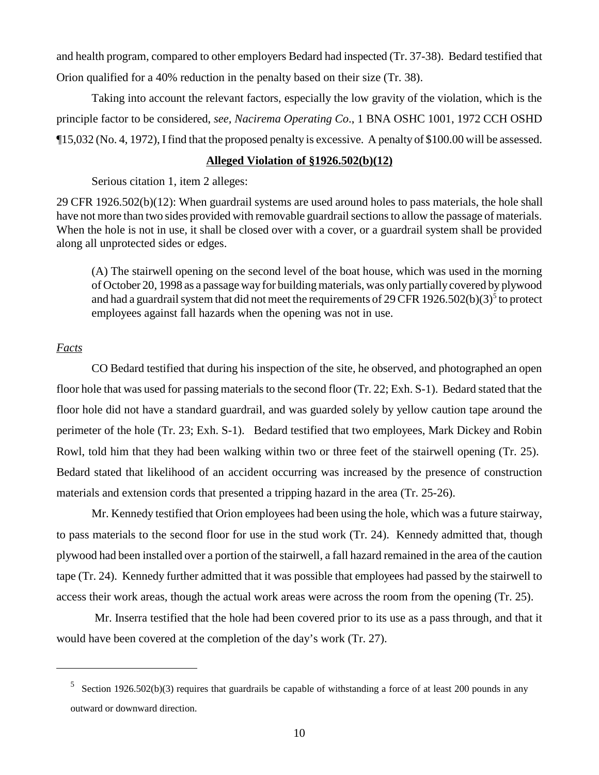and health program, compared to other employers Bedard had inspected (Tr. 37-38). Bedard testified that Orion qualified for a 40% reduction in the penalty based on their size (Tr. 38).

Taking into account the relevant factors, especially the low gravity of the violation, which is the principle factor to be considered, *see, Nacirema Operating Co*., 1 BNA OSHC 1001, 1972 CCH OSHD ¶15,032 (No. 4, 1972), I find that the proposed penalty is excessive. A penalty of \$100.00 will be assessed.

## **Alleged Violation of §1926.502(b)(12)**

Serious citation 1, item 2 alleges:

29 CFR 1926.502(b)(12): When guardrail systems are used around holes to pass materials, the hole shall have not more than two sides provided with removable guardrail sections to allow the passage of materials. When the hole is not in use, it shall be closed over with a cover, or a guardrail system shall be provided along all unprotected sides or edges.

(A) The stairwell opening on the second level of the boat house, which was used in the morning of October 20, 1998 as a passage way for building materials, was only partially covered by plywood and had a guardrail system that did not meet the requirements of 29 CFR 1926.502(b)(3)<sup>5</sup> to protect employees against fall hazards when the opening was not in use.

## *Facts*

CO Bedard testified that during his inspection of the site, he observed, and photographed an open floor hole that was used for passing materials to the second floor (Tr. 22; Exh. S-1). Bedard stated that the floor hole did not have a standard guardrail, and was guarded solely by yellow caution tape around the perimeter of the hole (Tr. 23; Exh. S-1). Bedard testified that two employees, Mark Dickey and Robin Rowl, told him that they had been walking within two or three feet of the stairwell opening (Tr. 25). Bedard stated that likelihood of an accident occurring was increased by the presence of construction materials and extension cords that presented a tripping hazard in the area (Tr. 25-26).

Mr. Kennedy testified that Orion employees had been using the hole, which was a future stairway, to pass materials to the second floor for use in the stud work (Tr. 24). Kennedy admitted that, though plywood had been installed over a portion of the stairwell, a fall hazard remained in the area of the caution tape (Tr. 24). Kennedy further admitted that it was possible that employees had passed by the stairwell to access their work areas, though the actual work areas were across the room from the opening (Tr. 25).

 Mr. Inserra testified that the hole had been covered prior to its use as a pass through, and that it would have been covered at the completion of the day's work (Tr. 27).

<sup>&</sup>lt;sup>5</sup> Section 1926.502(b)(3) requires that guardrails be capable of withstanding a force of at least 200 pounds in any outward or downward direction.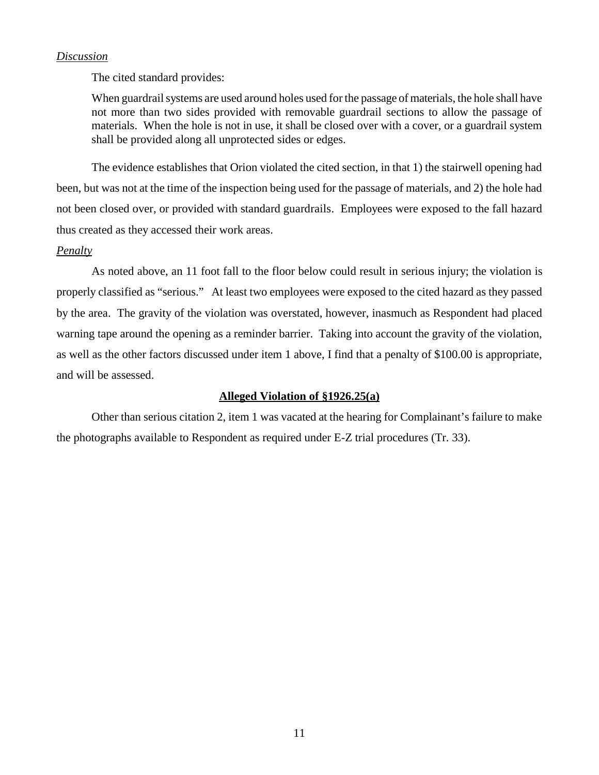### *Discussion*

The cited standard provides:

When guardrail systems are used around holes used for the passage of materials, the hole shall have not more than two sides provided with removable guardrail sections to allow the passage of materials. When the hole is not in use, it shall be closed over with a cover, or a guardrail system shall be provided along all unprotected sides or edges.

The evidence establishes that Orion violated the cited section, in that 1) the stairwell opening had been, but was not at the time of the inspection being used for the passage of materials, and 2) the hole had not been closed over, or provided with standard guardrails. Employees were exposed to the fall hazard thus created as they accessed their work areas.

### *Penalty*

As noted above, an 11 foot fall to the floor below could result in serious injury; the violation is properly classified as "serious." At least two employees were exposed to the cited hazard as they passed by the area. The gravity of the violation was overstated, however, inasmuch as Respondent had placed warning tape around the opening as a reminder barrier. Taking into account the gravity of the violation, as well as the other factors discussed under item 1 above, I find that a penalty of \$100.00 is appropriate, and will be assessed.

### **Alleged Violation of §1926.25(a)**

Other than serious citation 2, item 1 was vacated at the hearing for Complainant's failure to make the photographs available to Respondent as required under E-Z trial procedures (Tr. 33).